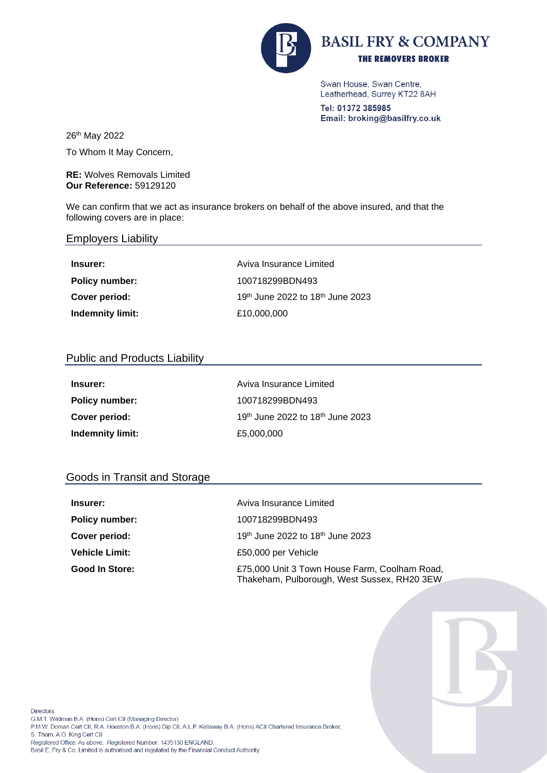

Swan House, Swan Centre, Leatherhead, Surrey KT22 8AH

Tel: 01372 385985 Email: broking@basilfry.co.uk

26th May 2022

To Whom It May Concern,

**RE:** Wolves Removals Limited **Our Reference:** 59129120

We can confirm that we act as insurance brokers on behalf of the above insured, and that the following covers are in place:

## Employers Liability

| Insurer:              | Aviva Insurance Limited          |
|-----------------------|----------------------------------|
| <b>Policy number:</b> | 100718299BDN493                  |
| Cover period:         | 19th June 2022 to 18th June 2023 |
| Indemnity limit:      | £10,000,000                      |

## Public and Products Liability

| Insurer:                | Aviva Insurance Limited          |
|-------------------------|----------------------------------|
| <b>Policy number:</b>   | 100718299BDN493                  |
| Cover period:           | 19th June 2022 to 18th June 2023 |
| <b>Indemnity limit:</b> | £5,000,000                       |

## Goods in Transit and Storage

| Insurer:              | Aviva Insurance Limited                                                                      |
|-----------------------|----------------------------------------------------------------------------------------------|
| Policy number:        | 100718299BDN493                                                                              |
| Cover period:         | 19 <sup>th</sup> June 2022 to 18 <sup>th</sup> June 2023                                     |
| <b>Vehicle Limit:</b> | £50,000 per Vehicle                                                                          |
| Good In Store:        | £75,000 Unit 3 Town House Farm, Coolham Road,<br>Thakeham, Pulborough, West Sussex, RH20 3EW |